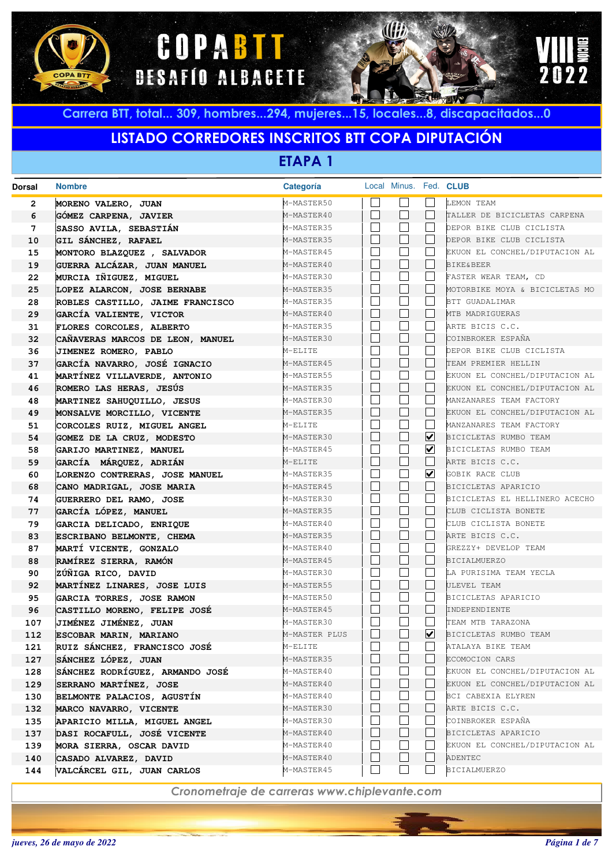





## **LISTADO CORREDORES INSCRITOS BTT COPA DIPUTACIÓN**

**ETAPA 1**

| <b>Dorsal</b> | <b>Nombre</b>                                            | <b>Categoría</b>         |                          | Local Minus. Fed. CLUB |                      |                                       |
|---------------|----------------------------------------------------------|--------------------------|--------------------------|------------------------|----------------------|---------------------------------------|
| 2             | MORENO VALERO, JUAN                                      | M-MASTER50               |                          |                        |                      | LEMON TEAM                            |
| 6             | GÓMEZ CARPENA, JAVIER                                    | M-MASTER40               |                          | $\vert \ \ \vert$      |                      | TALLER DE BICICLETAS CARPENA          |
| 7             | SASSO AVILA, SEBASTIÁN                                   | M-MASTER35               | $\vert \ \ \vert$        | $\blacksquare$         |                      | DEPOR BIKE CLUB CICLISTA              |
| 10            | GIL SÁNCHEZ, RAFAEL                                      | M-MASTER35               |                          | $\vert \ \ \vert$      |                      | DEPOR BIKE CLUB CICLISTA              |
| 15            | MONTORO BLAZQUEZ , SALVADOR                              | M-MASTER45               | $\vert \ \ \vert$        |                        |                      | EKUON EL CONCHEL/DIPUTACION AL        |
| 19            | GUERRA ALCÁZAR, JUAN MANUEL                              | M-MASTER40               |                          | $\vert \ \ \vert$      |                      | <b>BIKE&amp;BEER</b>                  |
| 22            | MURCIA IÑIGUEZ, MIGUEL                                   | M-MASTER30               | $\vert \ \ \vert$        |                        |                      | FASTER WEAR TEAM, CD                  |
| 25            | LOPEZ ALARCON, JOSE BERNABE                              | M-MASTER35               |                          | $\vert \ \ \vert$      |                      | MOTORBIKE MOYA & BICICLETAS MO        |
| 28            | ROBLES CASTILLO, JAIME FRANCISCO                         | M-MASTER35               |                          |                        |                      | BTT GUADALIMAR                        |
| 29            | GARCÍA VALIENTE, VICTOR                                  | M-MASTER40               |                          | $\Box$                 |                      | MTB MADRIGUERAS                       |
| 31            | FLORES CORCOLES, ALBERTO                                 | M-MASTER35               |                          |                        |                      | ARTE BICIS C.C.                       |
| 32            | CAÑAVERAS MARCOS DE LEON, MANUEL                         | M-MASTER30               |                          | $\Box$                 |                      | COINBROKER ESPAÑA                     |
| 36            | JIMENEZ ROMERO, PABLO                                    | M-ELITE                  |                          |                        |                      | DEPOR BIKE CLUB CICLISTA              |
| 37            | GARCÍA NAVARRO, JOSÉ IGNACIO                             | M-MASTER45               |                          | $\Box$                 |                      | TEAM PREMIER HELLIN                   |
| 41            | MARTÍNEZ VILLAVERDE, ANTONIO                             | M-MASTER55               | $\vert \ \ \vert$        | $\blacksquare$         |                      | EKUON EL CONCHEL/DIPUTACION AL        |
| 46            | ROMERO LAS HERAS, JESÚS                                  | M-MASTER35               |                          | $\Box$                 |                      | EKUON EL CONCHEL/DIPUTACION AL        |
| 48            | MARTINEZ SAHUQUILLO, JESUS                               | M-MASTER30               | $\vert \ \ \vert$        | $\blacksquare$         |                      | MANZANARES TEAM FACTORY               |
| 49            | MONSALVE MORCILLO, VICENTE                               | M-MASTER35               |                          | $\vert \ \ \vert$      |                      | EKUON EL CONCHEL/DIPUTACION AL        |
| 51            | CORCOLES RUIZ, MIGUEL ANGEL                              | M-ELITE                  | $\overline{\phantom{a}}$ | $\blacksquare$         |                      | MANZANARES TEAM FACTORY               |
| 54            | GOMEZ DE LA CRUZ, MODESTO                                | M-MASTER30               |                          | $\blacksquare$         | ⊻                    | BICICLETAS RUMBO TEAM                 |
| 58            | GARIJO MARTINEZ, MANUEL                                  | M-MASTER45               | $\vert \ \ \vert$        |                        | $\blacktriangledown$ | BICICLETAS RUMBO TEAM                 |
| 59            | GARCÍA MÁRQUEZ, ADRIÁN                                   | M-ELITE                  |                          | $\blacksquare$         |                      | ARTE BICIS C.C.                       |
| 60            | LORENZO CONTRERAS, JOSE MANUEL                           | M-MASTER35               | $\vert \ \ \vert$        |                        | ⊻                    | GOBIK RACE CLUB                       |
| 68            | CANO MADRIGAL, JOSE MARIA                                | M-MASTER45               |                          | $\blacksquare$         |                      | BICICLETAS APARICIO                   |
| 74            | GUERRERO DEL RAMO, JOSE                                  | M-MASTER30               | $\vert \ \ \vert$        |                        |                      | BICICLETAS EL HELLINERO ACECHO        |
| 77            | GARCÍA LÓPEZ, MANUEL                                     | M-MASTER35               |                          | $\vert \ \ \vert$      |                      | CLUB CICLISTA BONETE                  |
| 79            | GARCIA DELICADO, ENRIQUE                                 | M-MASTER40               | $\vert \ \ \vert$        |                        |                      | CLUB CICLISTA BONETE                  |
| 83            | ESCRIBANO BELMONTE, CHEMA                                | M-MASTER35               | $\vert \ \ \vert$        | $\Box$                 |                      | ARTE BICIS C.C.                       |
| 87            | MARTÍ VICENTE, GONZALO                                   | M-MASTER40               |                          | $\Box$                 |                      | GREZZY+ DEVELOP TEAM                  |
| 88            | RAMÍREZ SIERRA, RAMÓN                                    | M-MASTER45               | $\vert \ \ \vert$        | $\blacksquare$         |                      | <b>BICIALMUERZO</b>                   |
| 90            | ZÚÑIGA RICO, DAVID                                       | M-MASTER30               |                          | $\Box$                 |                      | LA PURISIMA TEAM YECLA<br>ULEVEL TEAM |
| 92<br>95      | MARTÍNEZ LINARES, JOSE LUIS<br>GARCIA TORRES, JOSE RAMON | M-MASTER55<br>M-MASTER50 | $\vert \ \ \vert$        | $\blacksquare$         |                      | BICICLETAS APARICIO                   |
| 96            |                                                          | M-MASTER45               |                          | П                      |                      | INDEPENDIENTE                         |
| 107           | CASTILLO MORENO, FELIPE JOSÉ<br>JIMÉNEZ JIMÉNEZ, JUAN    | M-MASTER30               |                          |                        |                      | TEAM MTB TARAZONA                     |
| 112           | ESCOBAR MARIN, MARIANO                                   | M-MASTER PLUS            |                          |                        | $\blacktriangledown$ | BICICLETAS RUMBO TEAM                 |
| 121           | RUIZ SÁNCHEZ, FRANCISCO JOSÉ                             | M-ELITE                  |                          |                        |                      | ATALAYA BIKE TEAM                     |
| 127           | SÁNCHEZ LÓPEZ, JUAN                                      | M-MASTER35               |                          |                        |                      | ECOMOCION CARS                        |
| 128           | SÁNCHEZ RODRÍGUEZ, ARMANDO JOSÉ                          | M-MASTER40               |                          |                        |                      | EKUON EL CONCHEL/DIPUTACION AL        |
| 129           | SERRANO MARTÍNEZ, JOSE                                   | M-MASTER40               |                          |                        |                      | EKUON EL CONCHEL/DIPUTACION AL        |
| 130           | BELMONTE PALACIOS, AGUSTÍN                               | M-MASTER40               |                          |                        |                      | BCI CABEXIA ELYREN                    |
| 132           | MARCO NAVARRO, VICENTE                                   | M-MASTER30               |                          |                        |                      | ARTE BICIS C.C.                       |
| 135           | APARICIO MILLA, MIGUEL ANGEL                             | M-MASTER30               |                          |                        |                      | COINBROKER ESPAÑA                     |
| 137           | DASI ROCAFULL, JOSÉ VICENTE                              | M-MASTER40               |                          |                        |                      | BICICLETAS APARICIO                   |
| 139           | MORA SIERRA, OSCAR DAVID                                 | M-MASTER40               |                          |                        |                      | EKUON EL CONCHEL/DIPUTACION AL        |
| 140           | CASADO ALVAREZ, DAVID                                    | M-MASTER40               |                          |                        |                      | ADENTEC                               |
| 144           | VALCÁRCEL GIL, JUAN CARLOS                               | M-MASTER45               |                          |                        |                      | <b>BICIALMUERZO</b>                   |
|               |                                                          |                          |                          |                        |                      |                                       |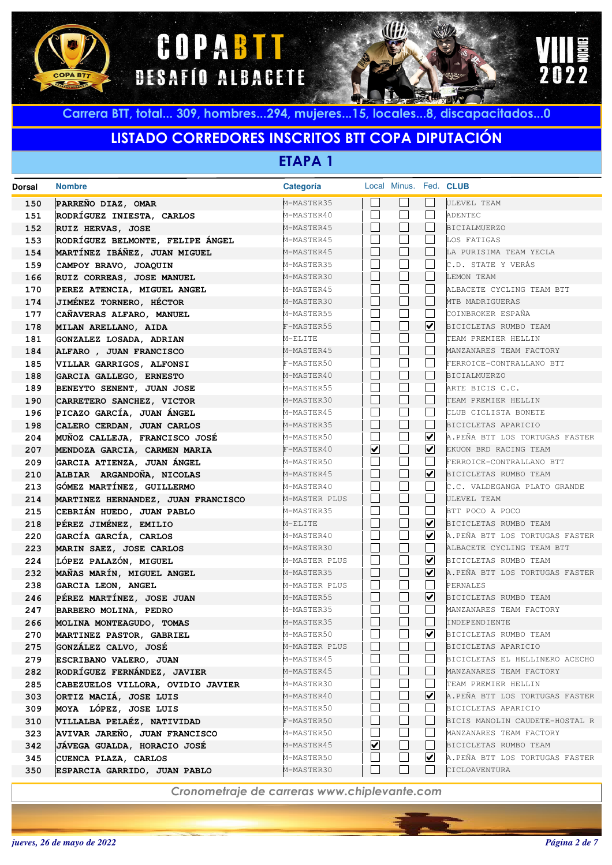





## **LISTADO CORREDORES INSCRITOS BTT COPA DIPUTACIÓN**

**ETAPA 1**

| <b>Dorsal</b> | <b>Nombre</b>                      | Categoría     |                         | Local Minus. Fed. CLUB |                             |                                |
|---------------|------------------------------------|---------------|-------------------------|------------------------|-----------------------------|--------------------------------|
| 150           | PARREÑO DIAZ, OMAR                 | M-MASTER35    |                         |                        |                             | ULEVEL TEAM                    |
| 151           | RODRÍGUEZ INIESTA, CARLOS          | M-MASTER40    |                         |                        |                             | ADENTEC                        |
| 152           | RUIZ HERVAS, JOSE                  | M-MASTER45    |                         | $\mathbf{L}$           |                             | <b>BICIALMUERZO</b>            |
| 153           | RODRÍGUEZ BELMONTE, FELIPE ÁNGEL   | M-MASTER45    |                         |                        |                             | LOS FATIGAS                    |
| 154           | MARTÍNEZ IBÁÑEZ, JUAN MIGUEL       | M-MASTER45    |                         | $\mathbf{L}$           |                             | LA PURISIMA TEAM YECLA         |
| 159           | CAMPOY BRAVO, JOAQUIN              | M-MASTER35    |                         |                        |                             | C.D. STATE Y VERÁS             |
| 166           | RUIZ CORREAS, JOSE MANUEL          | M-MASTER30    |                         | $\vert \ \ \vert$      |                             | LEMON TEAM                     |
| 170           | PEREZ ATENCIA, MIGUEL ANGEL        | M-MASTER45    |                         |                        |                             | ALBACETE CYCLING TEAM BTT      |
| 174           | JIMÉNEZ TORNERO, HÉCTOR            | M-MASTER30    |                         | L                      |                             | MTB MADRIGUERAS                |
| 177           | CAÑAVERAS ALFARO, MANUEL           | M-MASTER55    |                         |                        |                             | COINBROKER ESPAÑA              |
| 178           | MILAN ARELLANO, AIDA               | F-MASTER55    |                         | $\vert \ \ \vert$      | ☑                           | BICICLETAS RUMBO TEAM          |
| 181           | GONZALEZ LOSADA, ADRIAN            | M-ELITE       |                         |                        |                             | TEAM PREMIER HELLIN            |
| 184           | ALFARO , JUAN FRANCISCO            | M-MASTER45    |                         | $\vert \ \ \vert$      |                             | MANZANARES TEAM FACTORY        |
| 185           | VILLAR GARRIGOS, ALFONSI           | F-MASTER50    |                         |                        |                             | FERROICE-CONTRALLANO BTT       |
| 188           | GARCIA GALLEGO, ERNESTO            | M-MASTER40    |                         | $\vert \ \ \vert$      |                             | <b>BICIALMUERZO</b>            |
| 189           | BENEYTO SENENT, JUAN JOSE          | M-MASTER55    |                         |                        |                             | ARTE BICIS C.C.                |
| 190           | CARRETERO SANCHEZ, VICTOR          | M-MASTER30    |                         | $\vert \ \ \vert$      |                             | TEAM PREMIER HELLIN            |
| 196           | PICAZO GARCÍA, JUAN ÁNGEL          | M-MASTER45    |                         |                        |                             | CLUB CICLISTA BONETE           |
| 198           | CALERO CERDAN, JUAN CARLOS         | M-MASTER35    |                         | $\vert \ \ \vert$      |                             | BICICLETAS APARICIO            |
| 204           | MUÑOZ CALLEJA, FRANCISCO JOSÉ      | M-MASTER50    |                         |                        | $\overline{\mathbf{v}}$     | A.PEÑA BTT LOS TORTUGAS FASTER |
| 207           | MENDOZA GARCIA, CARMEN MARIA       | F-MASTER40    | $\overline{\mathbf{v}}$ | $\Box$                 | ⊻                           | EKUON BRD RACING TEAM          |
| 209           | GARCIA ATIENZA, JUAN ÁNGEL         | M-MASTER50    |                         |                        |                             | FERROICE-CONTRALLANO BTT       |
| 210           | ALBIAR ARGANDOÑA, NICOLAS          | M-MASTER45    |                         | $\mathbf{L}$           | $\blacktriangledown$        | BICICLETAS RUMBO TEAM          |
| 213           | GÓMEZ MARTÍNEZ, GUILLERMO          | M-MASTER40    |                         |                        |                             | C.C. VALDEGANGA PLATO GRANDE   |
| 214           | MARTINEZ HERNANDEZ, JUAN FRANCISCO | M-MASTER PLUS |                         | $\mathbb{L}$           |                             | ULEVEL TEAM                    |
| 215           | CEBRIÁN HUEDO, JUAN PABLO          | M-MASTER35    |                         |                        |                             | BTT POCO A POCO                |
| 218           | PÉREZ JIMÉNEZ, EMILIO              | M-ELITE       |                         | $\vert \ \ \vert$      | $\blacktriangledown$        | BICICLETAS RUMBO TEAM          |
| 220           | GARCÍA GARCÍA, CARLOS              | M-MASTER40    |                         |                        | ⊻                           | A.PEÑA BTT LOS TORTUGAS FASTER |
| 223           | MARIN SAEZ, JOSE CARLOS            | M-MASTER30    |                         | L                      |                             | ALBACETE CYCLING TEAM BTT      |
| 224           | LÓPEZ PALAZÓN, MIGUEL              | M-MASTER PLUS |                         |                        | $\overline{\mathbf{v}}$     | BICICLETAS RUMBO TEAM          |
| 232           | MAÑAS MARÍN, MIGUEL ANGEL          | M-MASTER35    |                         | L                      | ⊻                           | A.PEÑA BTT LOS TORTUGAS FASTER |
| 238           | GARCIA LEON, ANGEL                 | M-MASTER PLUS |                         |                        |                             | PERNALES                       |
| 246           | PÉREZ MARTÍNEZ, JOSE JUAN          | M-MASTER55    |                         | $\mathbb{L}$           | $\blacktriangledown$        | BICICLETAS RUMBO TEAM          |
| 247           | BARBERO MOLINA, PEDRO              | M-MASTER35    |                         |                        |                             | MANZANARES TEAM FACTORY        |
| 266           | MOLINA MONTEAGUDO, TOMAS           | M-MASTER35    |                         |                        |                             | INDEPENDIENTE                  |
| 270           | MARTINEZ PASTOR, GABRIEL           | M-MASTER50    |                         |                        | $\overline{\mathbf{v}}$     | BICICLETAS RUMBO TEAM          |
| 275           | GONZALEZ CALVO, JOSE               | M-MASTER PLUS |                         |                        |                             | BICICLETAS APARICIO            |
| 279           | ESCRIBANO VALERO, JUAN             | M-MASTER45    |                         |                        |                             | BICICLETAS EL HELLINERO ACECHO |
| 282           | RODRÍGUEZ FERNÁNDEZ, JAVIER        | M-MASTER45    |                         |                        |                             | MANZANARES TEAM FACTORY        |
| 285           | CABEZUELOS VILLORA, OVIDIO JAVIER  | M-MASTER30    |                         |                        |                             | TEAM PREMIER HELLIN            |
| 303           | ORTIZ MACIÁ, JOSE LUIS             | M-MASTER40    |                         |                        | $\vert\bm{\mathsf{v}}\vert$ | A.PEÑA BTT LOS TORTUGAS FASTER |
| 309           | MOYA LÓPEZ, JOSE LUIS              | M-MASTER50    |                         |                        |                             | BICICLETAS APARICIO            |
| 310           | VILLALBA PELAÉZ, NATIVIDAD         | F-MASTER50    |                         |                        |                             | BICIS MANOLIN CAUDETE-HOSTAL R |
| 323           | AVIVAR JAREÑO, JUAN FRANCISCO      | M-MASTER50    |                         |                        |                             | MANZANARES TEAM FACTORY        |
| 342           | JÁVEGA GUALDA, HORACIO JOSÉ        | M-MASTER45    | ☑                       |                        |                             | BICICLETAS RUMBO TEAM          |
| 345           | CUENCA PLAZA, CARLOS               | M-MASTER50    |                         |                        | $\vert\bm{\mathsf{v}}\vert$ | A.PEÑA BTT LOS TORTUGAS FASTER |
| 350           | ESPARCIA GARRIDO, JUAN PABLO       | M-MASTER30    |                         |                        |                             | CICLOAVENTURA                  |
|               |                                    |               |                         |                        |                             |                                |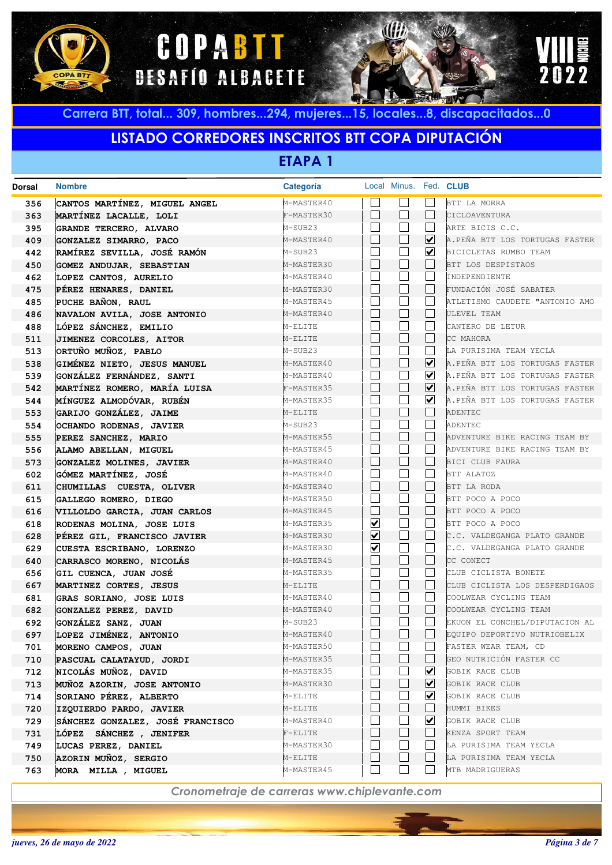





# **LISTADO CORREDORES INSCRITOS BTT COPA DIPUTACIÓN**

**ETAPA 1**

| <b>Dorsal</b> | <b>Nombre</b>                    | Categoría  |                         |                          | Local Minus. Fed. CLUB |                                |
|---------------|----------------------------------|------------|-------------------------|--------------------------|------------------------|--------------------------------|
| 356           | CANTOS MARTÍNEZ, MIGUEL ANGEL    | M-MASTER40 |                         |                          |                        | BTT LA MORRA                   |
| 363           | MARTÍNEZ LACALLE, LOLI           | F-MASTER30 |                         | $\mathbf{I}$             |                        | CICLOAVENTURA                  |
| 395           | GRANDE TERCERO, ALVARO           | M-SUB23    |                         |                          |                        | ARTE BICIS C.C.                |
| 409           | GONZALEZ SIMARRO, PACO           | M-MASTER40 |                         |                          | $\blacktriangledown$   | A.PEÑA BTT LOS TORTUGAS FASTER |
| 442           | RAMÍREZ SEVILLA, JOSÉ RAMÓN      | M-SUB23    |                         |                          | $\blacktriangledown$   | BICICLETAS RUMBO TEAM          |
| 450           | <b>GOMEZ ANDUJAR, SEBASTIAN</b>  | M-MASTER30 |                         | L                        |                        | BTT LOS DESPISTAOS             |
| 462           | LOPEZ CANTOS, AURELIO            | M-MASTER40 |                         |                          |                        | INDEPENDIENTE                  |
| 475           | PÉREZ HENARES, DANIEL            | M-MASTER30 |                         | $\mathbb{L}$             |                        | FUNDACIÓN JOSÉ SABATER         |
| 485           | PUCHE BAÑON, RAUL                | M-MASTER45 |                         |                          |                        | ATLETISMO CAUDETE "ANTONIO AMO |
| 486           | NAVALON AVILA, JOSE ANTONIO      | M-MASTER40 |                         | $\mathbb{L}$             |                        | ULEVEL TEAM                    |
| 488           | LÓPEZ SÁNCHEZ, EMILIO            | M-ELITE    |                         |                          |                        | CANTERO DE LETUR               |
| 511           | JIMENEZ CORCOLES, AITOR          | M-ELITE    |                         | $\mathbb{L}$             |                        | CC MAHORA                      |
| 513           | ORTUÑO MUÑOZ, PABLO              | M-SUB23    |                         |                          |                        | LA PURISIMA TEAM YECLA         |
| 538           | GIMÉNEZ NIETO, JESUS MANUEL      | M-MASTER40 |                         | $\mathbb{L}$             | $\blacktriangledown$   | A.PEÑA BTT LOS TORTUGAS FASTER |
| 539           | GONZÁLEZ FERNÁNDEZ, SANTI        | M-MASTER40 |                         |                          | M                      | A.PEÑA BTT LOS TORTUGAS FASTER |
| 542           | MARTÍNEZ ROMERO, MARÍA LUISA     | F-MASTER35 |                         |                          | M                      | A.PEÑA BTT LOS TORTUGAS FASTER |
| 544           | MÍNGUEZ ALMODÓVAR, RUBÉN         | M-MASTER35 |                         |                          | M                      | A.PEÑA BTT LOS TORTUGAS FASTER |
| 553           | GARIJO GONZÁLEZ, JAIME           | M-ELITE    |                         | $\mathbb{L}$             |                        | <b>ADENTEC</b>                 |
| 554           | OCHANDO RODENAS, JAVIER          | M-SUB23    |                         |                          |                        | ADENTEC                        |
| 555           | PEREZ SANCHEZ, MARIO             | M-MASTER55 |                         | $\mathbb{L}$             |                        | ADVENTURE BIKE RACING TEAM BY  |
| 556           | ALAMO ABELLAN, MIGUEL            | M-MASTER45 |                         |                          |                        | ADVENTURE BIKE RACING TEAM BY  |
| 573           | GONZALEZ MOLINES, JAVIER         | M-MASTER40 |                         | $\mathbf{L}$             |                        | BICI CLUB FAURA                |
| 602           | GÓMEZ MARTÍNEZ, JOSÉ             | M-MASTER40 |                         |                          |                        | BTT ALATOZ                     |
| 611           | CHUMILLAS CUESTA, OLIVER         | M-MASTER40 |                         | $\mathbb{L}$             |                        | BTT LA RODA                    |
| 615           | GALLEGO ROMERO, DIEGO            | M-MASTER50 |                         |                          |                        | BTT POCO A POCO                |
| 616           | VILLOLDO GARCIA, JUAN CARLOS     | M-MASTER45 |                         | $\mathbb{L}$             |                        | BTT POCO A POCO                |
| 618           | RODENAS MOLINA, JOSE LUIS        | M-MASTER35 | $\overline{\mathbf{v}}$ |                          |                        | BTT POCO A POCO                |
| 628           | PÉREZ GIL, FRANCISCO JAVIER      | M-MASTER30 | ⊻                       | $\mathbf{L}$             |                        | C.C. VALDEGANGA PLATO GRANDE   |
| 629           | CUESTA ESCRIBANO, LORENZO        | M-MASTER30 | ⊻                       |                          |                        | C.C. VALDEGANGA PLATO GRANDE   |
| 640           | CARRASCO MORENO, NICOLÁS         | M-MASTER45 |                         | $\mathbf{L}$             |                        | CC CONECT                      |
| 656           | GIL CUENCA, JUAN JOSÉ            | M-MASTER35 |                         |                          |                        | CLUB CICLISTA BONETE           |
| 667           | MARTINEZ CORTES, JESUS           | M-ELITE    |                         | $\mathbf{L}$             |                        | CLUB CICLISTA LOS DESPERDIGAOS |
| 681           | GRAS SORIANO, JOSE LUIS          | M-MASTER40 |                         |                          |                        | COOLWEAR CYCLING TEAM          |
| 682           | GONZALEZ PEREZ, DAVID            | M-MASTER40 |                         | $\mathbf{L}$             |                        | COOLWEAR CYCLING TEAM          |
| 692           | GONZÁLEZ SANZ, JUAN              | M-SUB23    |                         |                          |                        | EKUON EL CONCHEL/DIPUTACION AL |
| 697           | LOPEZ JIMÉNEZ, ANTONIO           | M-MASTER40 |                         |                          |                        | EQUIPO DEPORTIVO NUTRIOBELIX   |
| 701           | MORENO CAMPOS, JUAN              | M-MASTER50 |                         |                          |                        | FASTER WEAR TEAM, CD           |
| 710           | PASCUAL CALATAYUD, JORDI         | M-MASTER35 |                         |                          |                        | GEO NUTRICIÓN FASTER CC        |
| 712           | NICOLÁS MUÑOZ, DAVID             | M-MASTER35 |                         |                          | ☑                      | GOBIK RACE CLUB                |
| 713           | MUÑOZ AZORIN, JOSE ANTONIO       | M-MASTER30 |                         |                          | ☑                      | GOBIK RACE CLUB                |
| 714           | SORIANO PÉREZ, ALBERTO           | M-ELITE    |                         |                          | $\vert\mathbf{v}\vert$ | GOBIK RACE CLUB                |
| 720           | IZQUIERDO PARDO, JAVIER          | M-ELITE    |                         | $\vert \ \ \vert$        |                        | HUMMI BIKES                    |
| 729           | SÁNCHEZ GONZALEZ, JOSÉ FRANCISCO | M-MASTER40 |                         |                          | ⊻                      | GOBIK RACE CLUB                |
| 731           | LÓPEZ SÁNCHEZ , JENIFER          | $F-ELITE$  |                         | $\mathbf{I}$             |                        | KENZA SPORT TEAM               |
| 749           | LUCAS PEREZ, DANIEL              | M-MASTER30 |                         |                          |                        | LA PURISIMA TEAM YECLA         |
| 750           | AZORIN MUÑOZ, SERGIO             | M-ELITE    |                         | $\overline{\phantom{a}}$ |                        | LA PURISIMA TEAM YECLA         |
| 763           | MORA MILLA, MIGUEL               | M-MASTER45 |                         | $\sim$                   |                        | MTB MADRIGUERAS                |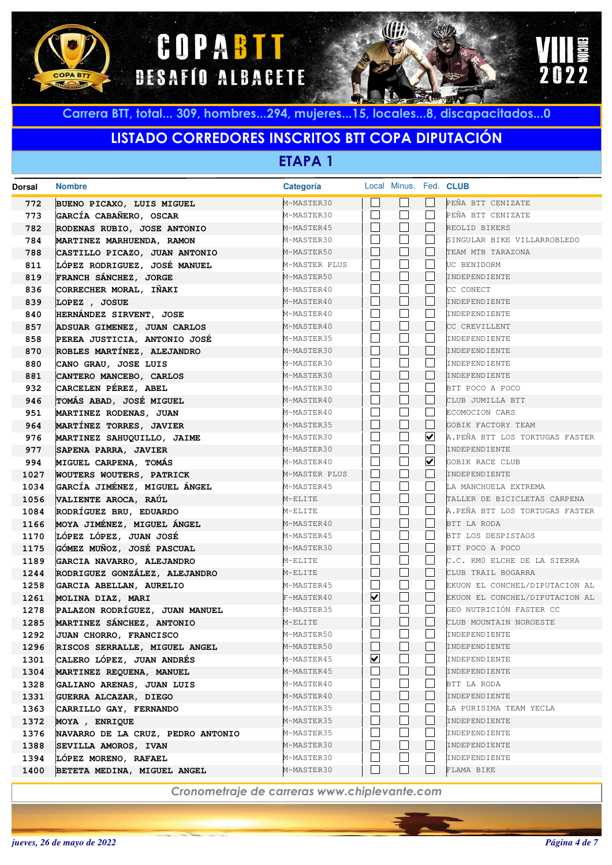





## **LISTADO CORREDORES INSCRITOS BTT COPA DIPUTACIÓN**

**ETAPA 1**

| Dorsal | <b>Nombre</b>                     | Categoría     |                         | Local Minus. Fed. CLUB |              |                                |
|--------|-----------------------------------|---------------|-------------------------|------------------------|--------------|--------------------------------|
| 772    | BUENO PICAXO, LUIS MIGUEL         | M-MASTER30    |                         |                        |              | PEÑA BTT CENIZATE              |
| 773    | GARCÍA CABAÑERO, OSCAR            | M-MASTER30    |                         |                        | L.           | PEÑA BTT CENIZATE              |
| 782    | RODENAS RUBIO, JOSE ANTONIO       | M-MASTER45    | $\mathbf{L}$            |                        |              | REOLID BIKERS                  |
| 784    | MARTINEZ MARHUENDA, RAMON         | M-MASTER30    |                         |                        |              | SINGULAR BIKE VILLARROBLEDO    |
| 788    | CASTILLO PICAZO, JUAN ANTONIO     | M-MASTER50    |                         |                        |              | TEAM MTB TARAZONA              |
| 811    | LÓPEZ RODRIGUEZ, JOSÉ MANUEL      | M-MASTER PLUS |                         |                        |              | UC BENIDORM                    |
| 819    | FRANCH SÁNCHEZ, JORGE             | M-MASTER50    |                         |                        |              | INDEPENDIENTE                  |
| 836    | CORRECHER MORAL, IÑAKI            | M-MASTER40    |                         |                        |              | CC CONECT                      |
| 839    | LOPEZ , JOSUE                     | M-MASTER40    | $\mathbb{R}$            |                        |              | INDEPENDIENTE                  |
| 840    | HERNÁNDEZ SIRVENT, JOSE           | M-MASTER40    |                         |                        |              | INDEPENDIENTE                  |
| 857    | ADSUAR GIMENEZ, JUAN CARLOS       | M-MASTER40    | L                       |                        |              | CC CREVILLENT                  |
| 858    | PEREA JUSTICIA, ANTONIO JOSÉ      | M-MASTER35    |                         |                        |              | INDEPENDIENTE                  |
| 870    | ROBLES MARTÍNEZ, ALEJANDRO        | M-MASTER30    | $\mathbf{L}$            |                        |              | INDEPENDIENTE                  |
| 880    | CANO GRAU, JOSE LUIS              | M-MASTER30    |                         |                        |              | INDEPENDIENTE                  |
| 881    | CANTERO MANCEBO, CARLOS           | M-MASTER30    | $\mathbf{L}$            |                        |              | INDEPENDIENTE                  |
| 932    | CARCELEN PÉREZ, ABEL              | M-MASTER30    |                         |                        | L.           | BTT POCO A POCO                |
| 946    | TOMÁS ABAD, JOSÉ MIGUEL           | M-MASTER40    | $\mathbf{L}$            |                        | L            | CLUB JUMILLA BTT               |
| 951    | MARTINEZ RODENAS, JUAN            | M-MASTER40    |                         |                        | L.           | ECOMOCION CARS                 |
| 964    | MARTÍNEZ TORRES, JAVIER           | M-MASTER35    | L                       |                        | $\mathbf{L}$ | GOBIK FACTORY TEAM             |
| 976    | MARTINEZ SAHUQUILLO, JAIME        | M-MASTER30    |                         |                        | ☑            | A.PEÑA BTT LOS TORTUGAS FASTER |
| 977    | SAPENA PARRA, JAVIER              | M-MASTER30    |                         |                        | L            | INDEPENDIENTE                  |
| 994    | MIGUEL CARPENA, TOMÁS             | M-MASTER40    |                         |                        | ☑            | GOBIK RACE CLUB                |
| 1027   | <b>WOUTERS WOUTERS, PATRICK</b>   | M-MASTER PLUS | $\mathbb{R}$            |                        | L            | INDEPENDIENTE                  |
| 1034   | GARCÍA JIMÉNEZ, MIGUEL ÁNGEL      | M-MASTER45    |                         |                        |              | LA MANCHUELA EXTREMA           |
| 1056   | VALIENTE AROCA, RAÚL              | M-ELITE       | $\mathbf{L}$            |                        |              | TALLER DE BICICLETAS CARPENA   |
| 1084   | RODRÍGUEZ BRU, EDUARDO            | M-ELITE       |                         |                        |              | A.PEÑA BTT LOS TORTUGAS FASTER |
| 1166   | MOYA JIMÉNEZ, MIGUEL ÁNGEL        | M-MASTER40    | $\mathbf{L}$            |                        | L            | BTT LA RODA                    |
| 1170   | LÓPEZ LÓPEZ, JUAN JOSÉ            | M-MASTER45    |                         |                        |              | BTT LOS DESPISTAOS             |
| 1175   | GÓMEZ MUÑOZ, JOSÉ PASCUAL         | M-MASTER30    | L                       |                        | $\mathbf{L}$ | BTT POCO A POCO                |
| 1189   | GARCIA NAVARRO, ALEJANDRO         | M-ELITE       |                         |                        |              | C.C. KMO ELCHE DE LA SIERRA    |
| 1244   | RODRIGUEZ GONZÁLEZ, ALEJANDRO     | M-ELITE       | $\mathbf{L}$            |                        | $\mathbf{L}$ | CLUB TRAIL BOGARRA             |
| 1258   | GARCIA ABELLAN, AURELIO           | M-MASTER45    |                         |                        |              | EKUON EL CONCHEL/DIPUTACION AL |
| 1261   | MOLINA DIAZ, MARI                 | F-MASTER40    | $\overline{\mathbf{v}}$ |                        |              | EKUON EL CONCHEL/DIPUTACION AL |
| 1278   | PALAZON RODRÍGUEZ, JUAN MANUEL    | M-MASTER35    |                         |                        |              | GEO NUTRICIÓN FASTER CC        |
| 1285   | MARTINEZ SÁNCHEZ, ANTONIO         | M-ELITE       |                         |                        |              | CLUB MOUNTAIN NOROESTE         |
| 1292   | JUAN CHORRO, FRANCISCO            | M-MASTER50    | $\mathbb{R}$            |                        |              | INDEPENDIENTE                  |
| 1296   | RISCOS SERRALLE, MIGUEL ANGEL     | M-MASTER50    |                         |                        |              | INDEPENDIENTE                  |
| 1301   | CALERO LÓPEZ, JUAN ANDRÉS         | M-MASTER45    | ☑                       |                        |              | INDEPENDIENTE                  |
| 1304   | MARTINEZ REQUENA, MANUEL          | M-MASTER45    |                         |                        | L            | INDEPENDIENTE                  |
| 1328   | GALIANO ARENAS, JUAN LUIS         | M-MASTER40    |                         |                        | L            | BTT LA RODA                    |
| 1331   | GUERRA ALCAZAR, DIEGO             | M-MASTER40    |                         | $\vert \ \ \vert$      | L            | INDEPENDIENTE                  |
| 1363   | CARRILLO GAY, FERNANDO            | M-MASTER35    |                         |                        |              | LA PURISIMA TEAM YECLA         |
| 1372   | MOYA, ENRIQUE                     | M-MASTER35    |                         |                        |              | INDEPENDIENTE                  |
| 1376   | NAVARRO DE LA CRUZ, PEDRO ANTONIO | M-MASTER35    |                         |                        |              | INDEPENDIENTE                  |
| 1388   | SEVILLA AMOROS, IVAN              | M-MASTER30    |                         |                        |              | INDEPENDIENTE                  |
| 1394   | LÓPEZ MORENO, RAFAEL              | M-MASTER30    |                         |                        |              | INDEPENDIENTE                  |
| 1400   | BETETA MEDINA, MIGUEL ANGEL       | M-MASTER30    |                         |                        |              | FLAMA BIKE                     |
|        |                                   |               |                         |                        |              |                                |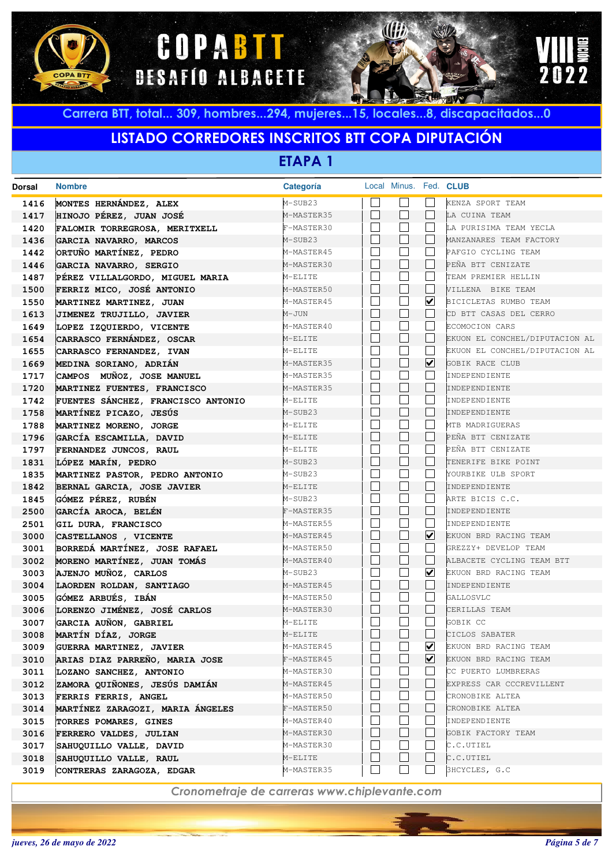





## **LISTADO CORREDORES INSCRITOS BTT COPA DIPUTACIÓN**

**ETAPA 1**

| Dorsal | <b>Nombre</b>                      | Categoría  |              |                          |                      | Local Minus. Fed. CLUB         |
|--------|------------------------------------|------------|--------------|--------------------------|----------------------|--------------------------------|
| 1416   | MONTES HERNÁNDEZ, ALEX             | M-SUB23    |              |                          |                      | KENZA SPORT TEAM               |
| 1417   | HINOJO PÉREZ, JUAN JOSÉ            | M-MASTER35 |              | $\mathbb{R}^n$           |                      | LA CUINA TEAM                  |
| 1420   | FALOMIR TORREGROSA, MERITXELL      | F-MASTER30 |              |                          |                      | LA PURISIMA TEAM YECLA         |
| 1436   | GARCIA NAVARRO, MARCOS             | M-SUB23    | $\mathbb{L}$ |                          |                      | MANZANARES TEAM FACTORY        |
| 1442   | ORTUÑO MARTÍNEZ, PEDRO             | M-MASTER45 |              |                          |                      | PAFGIO CYCLING TEAM            |
| 1446   | GARCIA NAVARRO, SERGIO             | M-MASTER30 | $\mathbb{L}$ |                          |                      | PEÑA BTT CENIZATE              |
| 1487   | PÉREZ VILLALGORDO, MIGUEL MARIA    | M-ELITE    |              |                          |                      | TEAM PREMIER HELLIN            |
| 1500   | FERRIZ MICO, JOSÉ ANTONIO          | M-MASTER50 |              | $\Box$                   |                      | VILLENA BIKE TEAM              |
| 1550   | MARTINEZ MARTINEZ, JUAN            | M-MASTER45 |              |                          | ☑                    | BICICLETAS RUMBO TEAM          |
| 1613   | JIMENEZ TRUJILLO, JAVIER           | M-JUN      |              | $\mathbf{L}$             |                      | CD BTT CASAS DEL CERRO         |
| 1649   | LOPEZ IZQUIERDO, VICENTE           | M-MASTER40 |              |                          |                      | ECOMOCION CARS                 |
| 1654   | CARRASCO FERNÁNDEZ, OSCAR          | M-ELITE    | L            |                          |                      | EKUON EL CONCHEL/DIPUTACION AL |
| 1655   | CARRASCO FERNANDEZ, IVAN           | M-ELITE    |              |                          |                      | EKUON EL CONCHEL/DIPUTACION AL |
| 1669   | MEDINA SORIANO, ADRIÁN             | M-MASTER35 | $\mathbb{L}$ |                          | ☑                    | GOBIK RACE CLUB                |
| 1717   | CAMPOS MUÑOZ, JOSE MANUEL          | M-MASTER35 |              |                          |                      | INDEPENDIENTE                  |
| 1720   | MARTINEZ FUENTES, FRANCISCO        | M-MASTER35 | $\mathbb{L}$ |                          |                      | INDEPENDIENTE                  |
| 1742   | FUENTES SÁNCHEZ, FRANCISCO ANTONIO | M-ELITE    |              |                          |                      | INDEPENDIENTE                  |
| 1758   | MARTÍNEZ PICAZO, JESÚS             | M-SUB23    | $\mathbb{L}$ |                          |                      | INDEPENDIENTE                  |
| 1788   | MARTINEZ MORENO, JORGE             | M-ELITE    |              |                          |                      | MTB MADRIGUERAS                |
| 1796   | GARCÍA ESCAMILLA, DAVID            | M-ELITE    | $\mathbb{L}$ |                          |                      | PEÑA BTT CENIZATE              |
| 1797   | FERNANDEZ JUNCOS, RAUL             | M-ELITE    |              |                          |                      | PEÑA BTT CENIZATE              |
| 1831   | LÓPEZ MARÍN, PEDRO                 | M-SUB23    | $\mathbb{L}$ |                          |                      | TENERIFE BIKE POINT            |
| 1835   | MARTINEZ PASTOR, PEDRO ANTONIO     | M-SUB23    |              |                          |                      | YOURBIKE ULB SPORT             |
| 1842   | BERNAL GARCIA, JOSE JAVIER         | M-ELITE    | $\mathbb{L}$ |                          |                      | INDEPENDIENTE                  |
| 1845   | GÓMEZ PÉREZ, RUBÉN                 | M-SUB23    |              |                          |                      | ARTE BICIS C.C.                |
| 2500   | GARCÍA AROCA, BELÉN                | F-MASTER35 | $\mathbb{L}$ |                          |                      | INDEPENDIENTE                  |
| 2501   | GIL DURA, FRANCISCO                | M-MASTER55 |              |                          |                      | INDEPENDIENTE                  |
| 3000   | CASTELLANOS , VICENTE              | M-MASTER45 | $\mathbb{L}$ |                          | ☑                    | EKUON BRD RACING TEAM          |
| 3001   | BORREDÁ MARTÍNEZ, JOSE RAFAEL      | M-MASTER50 |              |                          |                      | GREZZY+ DEVELOP TEAM           |
| 3002   | MORENO MARTÍNEZ, JUAN TOMÁS        | M-MASTER40 |              | $\mathbf{L}$             |                      | ALBACETE CYCLING TEAM BTT      |
| 3003   | AJENJO MUÑOZ, CARLOS               | M-SUB23    |              |                          | $\blacktriangledown$ | EKUON BRD RACING TEAM          |
| 3004   | LAORDEN ROLDAN, SANTIAGO           | M-MASTER45 | $\mathbb{L}$ |                          |                      | INDEPENDIENTE                  |
| 3005   | GÓMEZ ARBUÉS, IBÁN                 | M-MASTER50 |              |                          |                      | GALLOSVLC                      |
| 3006   | LORENZO JIMÉNEZ, JOSÉ CARLOS       | M-MASTER30 |              | $\mathbf{L}$             |                      | CERILLAS TEAM                  |
| 3007   | GARCIA AUÑON, GABRIEL              | M-ELITE    |              |                          |                      | GOBIK CC                       |
| 3008   | MARTÍN DÍAZ, JORGE                 | M-ELITE    |              |                          |                      | CICLOS SABATER                 |
| 3009   | <b>GUERRA MARTINEZ, JAVIER</b>     | M-MASTER45 |              |                          | M                    | EKUON BRD RACING TEAM          |
| 3010   | ARIAS DIAZ PARREÑO, MARIA JOSE     | F-MASTER45 |              |                          | ☑                    | EKUON BRD RACING TEAM          |
| 3011   | LOZANO SANCHEZ, ANTONIO            | M-MASTER30 |              |                          |                      | CC PUERTO LUMBRERAS            |
| 3012   | ZAMORA QUIÑONES, JESÚS DAMIÁN      | M-MASTER45 |              | $\mathbf{L}$             |                      | EXPRESS CAR CCCREVILLENT       |
| 3013   | FERRIS FERRIS, ANGEL               | M-MASTER50 |              |                          |                      | CRONOBIKE ALTEA                |
| 3014   | MARTÍNEZ ZARAGOZI, MARIA ÁNGELES   | F-MASTER50 |              | $\mathbf{L}$             |                      | CRONOBIKE ALTEA                |
| 3015   | TORRES POMARES, GINES              | M-MASTER40 |              |                          |                      | INDEPENDIENTE                  |
| 3016   | FERRERO VALDES, JULIAN             | M-MASTER30 |              | $\overline{\phantom{a}}$ |                      | GOBIK FACTORY TEAM             |
| 3017   | SAHUQUILLO VALLE, DAVID            | M-MASTER30 |              |                          |                      | C.C.UTIEL                      |
| 3018   | SAHUQUILLO VALLE, RAUL             | M-ELITE    |              | $\overline{\phantom{a}}$ |                      | C.C.UTIEL                      |
| 3019   | CONTRERAS ZARAGOZA, EDGAR          | M-MASTER35 |              | $\blacksquare$           |                      | 3HCYCLES, G.C.                 |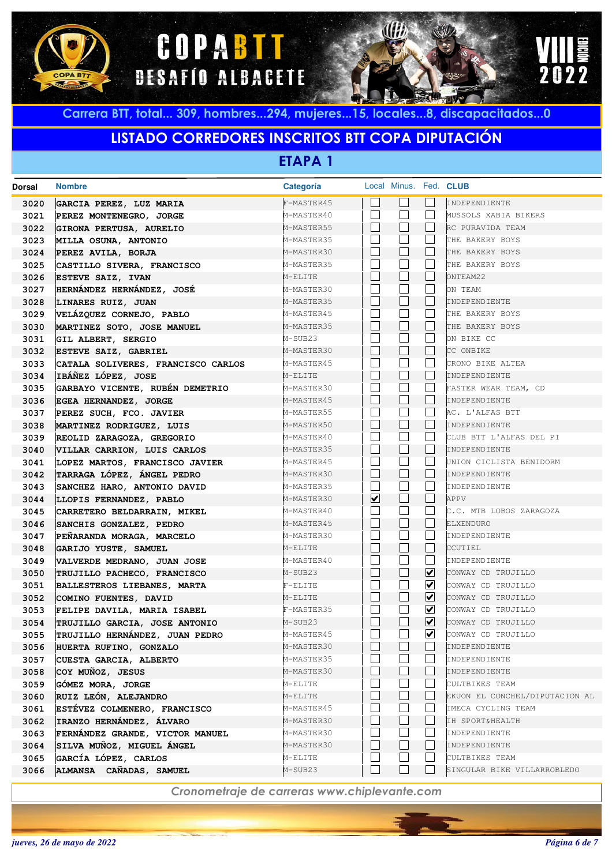





# **LISTADO CORREDORES INSCRITOS BTT COPA DIPUTACIÓN**

**ETAPA 1**

| Dorsal | <b>Nombre</b>                      | <b>Categoria</b> |                          | Local Minus. Fed. CLUB |                      |                                |
|--------|------------------------------------|------------------|--------------------------|------------------------|----------------------|--------------------------------|
| 3020   | GARCIA PEREZ, LUZ MARIA            | F-MASTER45       |                          |                        |                      | INDEPENDIENTE                  |
| 3021   | PEREZ MONTENEGRO, JORGE            | M-MASTER40       | П                        |                        | $\Box$               | MUSSOLS XABIA BIKERS           |
| 3022   | GIRONA PERTUSA, AURELIO            | M-MASTER55       | $\Box$                   |                        | $\vert \ \ \vert$    | RC PURAVIDA TEAM               |
| 3023   | MILLA OSUNA, ANTONIO               | M-MASTER35       | $\mathbf{L}$             |                        | $\vert \ \ \vert$    | THE BAKERY BOYS                |
| 3024   | PEREZ AVILA, BORJA                 | M-MASTER30       | $\Box$                   |                        | $\vert \ \ \vert$    | THE BAKERY BOYS                |
| 3025   | CASTILLO SIVERA, FRANCISCO         | M-MASTER35       | $\mathbf{L}$             |                        | L                    | THE BAKERY BOYS                |
| 3026   | <b>ESTEVE SAIZ, IVAN</b>           | M-ELITE          | $\mathbf{L}$             |                        | $\vert \ \ \vert$    | ONTEAM22                       |
| 3027   | HERNÁNDEZ HERNÁNDEZ, JOSÉ          | M-MASTER30       | $\mathbf{L}$             |                        | L                    | ON TEAM                        |
| 3028   | LINARES RUIZ, JUAN                 | M-MASTER35       | $\Box$                   |                        | $\vert \ \ \vert$    | INDEPENDIENTE                  |
| 3029   | VELÁZQUEZ CORNEJO, PABLO           | M-MASTER45       | $\mathbf{L}$             |                        | $\vert \ \ \vert$    | THE BAKERY BOYS                |
| 3030   | MARTINEZ SOTO, JOSE MANUEL         | M-MASTER35       | $\Box$                   |                        | $\vert \ \ \vert$    | THE BAKERY BOYS                |
| 3031   | GIL ALBERT, SERGIO                 | M-SUB23          | $\mathbf{L}$             |                        | $\vert \ \ \vert$    | ON BIKE CC                     |
| 3032   | ESTEVE SAIZ, GABRIEL               | M-MASTER30       | $\Box$                   |                        | $\vert \ \ \vert$    | CC ONBIKE                      |
| 3033   | CATALA SOLIVERES, FRANCISCO CARLOS | M-MASTER45       | $\mathbf{L}$             |                        | L                    | CRONO BIKE ALTEA               |
| 3034   | IBÁÑEZ LÓPEZ, JOSE                 | M-ELITE          | $\Box$                   |                        | $\vert \ \ \vert$    | INDEPENDIENTE                  |
| 3035   | GARBAYO VICENTE, RUBÉN DEMETRIO    | M-MASTER30       | $\mathbf{L}$             |                        | L                    | FASTER WEAR TEAM, CD           |
| 3036   | EGEA HERNANDEZ, JORGE              | M-MASTER45       | $\Box$                   |                        | $\vert \ \ \vert$    | INDEPENDIENTE                  |
| 3037   | PEREZ SUCH, FCO. JAVIER            | M-MASTER55       | $\mathbf{L}$             |                        | L                    | AC. L'ALFAS BTT                |
| 3038   | MARTINEZ RODRIGUEZ, LUIS           | M-MASTER50       | $\Box$                   |                        | $\vert \ \ \vert$    | INDEPENDIENTE                  |
| 3039   | REOLID ZARAGOZA, GREGORIO          | M-MASTER40       | $\mathbf{L}$             |                        | L                    | CLUB BTT L'ALFAS DEL PI        |
| 3040   | VILLAR CARRION, LUIS CARLOS        | M-MASTER35       | $\perp$                  |                        | $\Box$               | INDEPENDIENTE                  |
| 3041   | LOPEZ MARTOS, FRANCISCO JAVIER     | M-MASTER45       | $\vert \ \ \vert$        |                        | $\Box$               | UNION CICLISTA BENIDORM        |
| 3042   | TARRAGA LÓPEZ, ÁNGEL PEDRO         | M-MASTER30       | $\Box$                   |                        | $\Box$               | INDEPENDIENTE                  |
| 3043   | SANCHEZ HARO, ANTONIO DAVID        | M-MASTER35       | $\vert \ \ \vert$        |                        | $\vert \ \ \vert$    | INDEPENDIENTE                  |
| 3044   | LLOPIS FERNANDEZ, PABLO            | M-MASTER30       | $\blacktriangledown$     | $\blacksquare$         | $\vert \ \ \vert$    | APPV                           |
| 3045   | CARRETERO BELDARRAIN, MIKEL        | M-MASTER40       | $\mathbf{L}$             |                        | L                    | C.C. MTB LOBOS ZARAGOZA        |
| 3046   | SANCHIS GONZALEZ, PEDRO            | M-MASTER45       | $\Box$                   |                        | $\vert \ \ \vert$    | ELXENDURO                      |
| 3047   | PEÑARANDA MORAGA, MARCELO          | M-MASTER30       | $\mathbf{L}$             |                        | L                    | INDEPENDIENTE                  |
| 3048   | GARIJO YUSTE, SAMUEL               | M-ELITE          | $\Box$                   | $\blacksquare$         | $\Box$               | CCUTIEL                        |
| 3049   | VALVERDE MEDRANO, JUAN JOSE        | M-MASTER40       | $\mathbf{L}$             |                        | $\vert \ \ \vert$    | INDEPENDIENTE                  |
| 3050   | TRUJILLO PACHECO, FRANCISCO        | M-SUB23          | $\mathbf{L}$             |                        | ☑                    | CONWAY CD TRUJILLO             |
| 3051   | BALLESTEROS LIEBANES, MARTA        | $F-ELITE$        | $\mathbf{L}$             |                        | ⊻                    | CONWAY CD TRUJILLO             |
| 3052   | COMINO FUENTES, DAVID              | M-ELITE          | $\Box$                   |                        | ☑                    | CONWAY CD TRUJILLO             |
| 3053   | FELIPE DAVILA, MARIA ISABEL        | F-MASTER35       | $\overline{\phantom{a}}$ |                        | ⊻                    | CONWAY CD TRUJILLO             |
| 3054   | TRUJILLO GARCIA, JOSE ANTONIO      | M-SUB23          | $\mathbf{L}$             |                        | ⊻                    | CONWAY CD TRUJILLO             |
| 3055   | TRUJILLO HERNÁNDEZ, JUAN PEDRO     | M-MASTER45       | $\mathbf{L}$             |                        | $\blacktriangledown$ | CONWAY CD TRUJILLO             |
| 3056   | HUERTA RUFINO, GONZALO             | M-MASTER30       |                          |                        |                      | INDEPENDIENTE                  |
| 3057   | CUESTA GARCIA, ALBERTO             | M-MASTER35       |                          |                        |                      | INDEPENDIENTE                  |
| 3058   | COY MUÑOZ, JESUS                   | M-MASTER30       | $\mathbf{L}$             |                        | $\vert \ \ \vert$    | INDEPENDIENTE                  |
| 3059   | GÓMEZ MORA, JORGE                  | M-ELITE          | $\mathbf{L}$             |                        | $\vert \ \ \vert$    | CULTBIKES TEAM                 |
| 3060   | RUIZ LEÓN, ALEJANDRO               | M-ELITE          |                          |                        | $\mathsf{L}$         | EKUON EL CONCHEL/DIPUTACION AL |
| 3061   | ESTÉVEZ COLMENERO, FRANCISCO       | M-MASTER45       | L                        |                        |                      | IMECA CYCLING TEAM             |
| 3062   | IRANZO HERNÁNDEZ, ÁLVARO           | M-MASTER30       |                          |                        |                      | IH SPORT&HEALTH                |
| 3063   | FERNÁNDEZ GRANDE, VICTOR MANUEL    | M-MASTER30       |                          |                        | L                    | INDEPENDIENTE                  |
| 3064   | SILVA MUÑOZ, MIGUEL ÁNGEL          | M-MASTER30       |                          |                        | $\vert \ \ \vert$    | INDEPENDIENTE                  |
| 3065   | GARCÍA LÓPEZ, CARLOS               | M-ELITE          |                          |                        |                      | CULTBIKES TEAM                 |
| 3066   | ALMANSA CAÑADAS, SAMUEL            | M-SUB23          |                          |                        |                      | SINGULAR BIKE VILLARROBLEDO    |